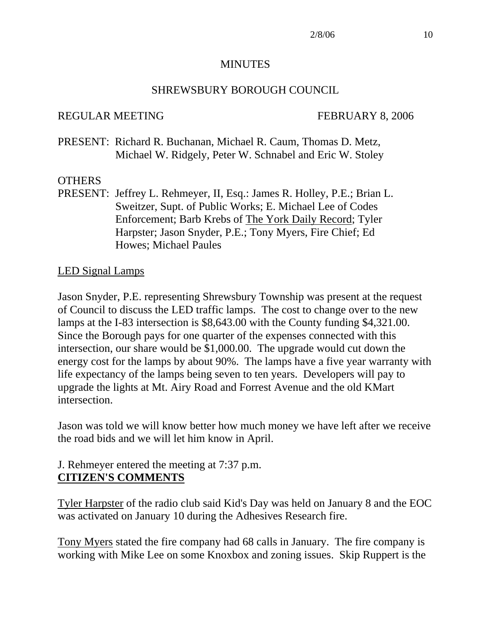#### **MINUTES**

#### SHREWSBURY BOROUGH COUNCIL

#### REGULAR MEETING FEBRUARY 8, 2006

PRESENT: Richard R. Buchanan, Michael R. Caum, Thomas D. Metz, Michael W. Ridgely, Peter W. Schnabel and Eric W. Stoley

#### **OTHERS**

PRESENT: Jeffrey L. Rehmeyer, II, Esq.: James R. Holley, P.E.; Brian L. Sweitzer, Supt. of Public Works; E. Michael Lee of Codes Enforcement; Barb Krebs of The York Daily Record; Tyler Harpster; Jason Snyder, P.E.; Tony Myers, Fire Chief; Ed Howes; Michael Paules

#### LED Signal Lamps

Jason Snyder, P.E. representing Shrewsbury Township was present at the request of Council to discuss the LED traffic lamps. The cost to change over to the new lamps at the I-83 intersection is \$8,643.00 with the County funding \$4,321.00. Since the Borough pays for one quarter of the expenses connected with this intersection, our share would be \$1,000.00. The upgrade would cut down the energy cost for the lamps by about 90%. The lamps have a five year warranty with life expectancy of the lamps being seven to ten years. Developers will pay to upgrade the lights at Mt. Airy Road and Forrest Avenue and the old KMart intersection.

Jason was told we will know better how much money we have left after we receive the road bids and we will let him know in April.

#### J. Rehmeyer entered the meeting at 7:37 p.m. **CITIZEN'S COMMENTS**

Tyler Harpster of the radio club said Kid's Day was held on January 8 and the EOC was activated on January 10 during the Adhesives Research fire.

Tony Myers stated the fire company had 68 calls in January. The fire company is working with Mike Lee on some Knoxbox and zoning issues. Skip Ruppert is the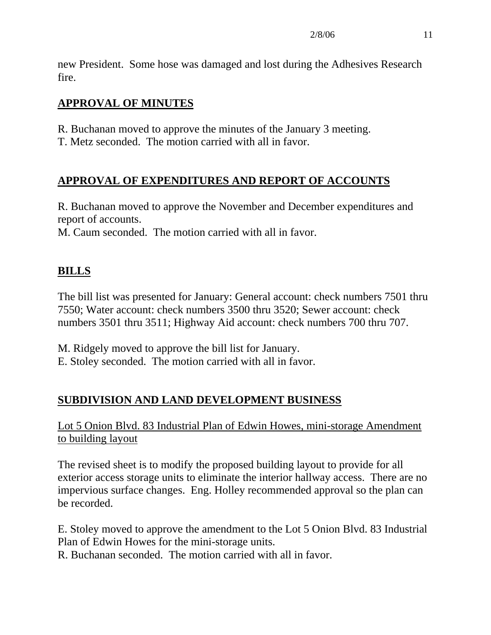new President. Some hose was damaged and lost during the Adhesives Research fire.

## **APPROVAL OF MINUTES**

- R. Buchanan moved to approve the minutes of the January 3 meeting.
- T. Metz seconded. The motion carried with all in favor.

# **APPROVAL OF EXPENDITURES AND REPORT OF ACCOUNTS**

R. Buchanan moved to approve the November and December expenditures and report of accounts.

M. Caum seconded. The motion carried with all in favor.

# **BILLS**

The bill list was presented for January: General account: check numbers 7501 thru 7550; Water account: check numbers 3500 thru 3520; Sewer account: check numbers 3501 thru 3511; Highway Aid account: check numbers 700 thru 707.

M. Ridgely moved to approve the bill list for January.

E. Stoley seconded. The motion carried with all in favor.

# **SUBDIVISION AND LAND DEVELOPMENT BUSINESS**

## Lot 5 Onion Blvd. 83 Industrial Plan of Edwin Howes, mini-storage Amendment to building layout

The revised sheet is to modify the proposed building layout to provide for all exterior access storage units to eliminate the interior hallway access. There are no impervious surface changes. Eng. Holley recommended approval so the plan can be recorded.

E. Stoley moved to approve the amendment to the Lot 5 Onion Blvd. 83 Industrial Plan of Edwin Howes for the mini-storage units.

R. Buchanan seconded. The motion carried with all in favor.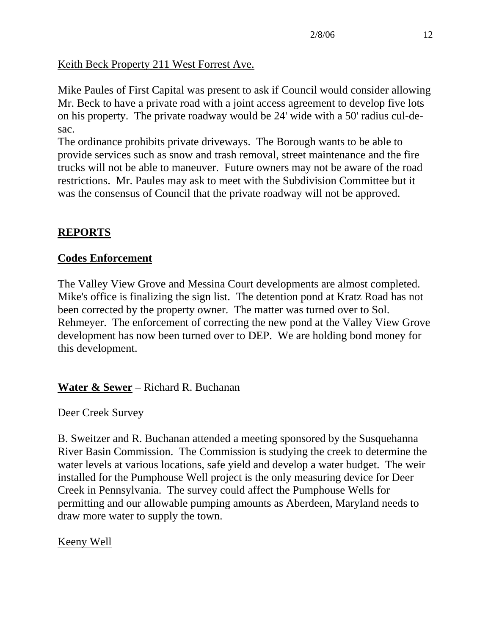## Keith Beck Property 211 West Forrest Ave.

Mike Paules of First Capital was present to ask if Council would consider allowing Mr. Beck to have a private road with a joint access agreement to develop five lots on his property. The private roadway would be 24' wide with a 50' radius cul-desac.

The ordinance prohibits private driveways. The Borough wants to be able to provide services such as snow and trash removal, street maintenance and the fire trucks will not be able to maneuver. Future owners may not be aware of the road restrictions. Mr. Paules may ask to meet with the Subdivision Committee but it was the consensus of Council that the private roadway will not be approved.

## **REPORTS**

## **Codes Enforcement**

The Valley View Grove and Messina Court developments are almost completed. Mike's office is finalizing the sign list. The detention pond at Kratz Road has not been corrected by the property owner. The matter was turned over to Sol. Rehmeyer. The enforcement of correcting the new pond at the Valley View Grove development has now been turned over to DEP. We are holding bond money for this development.

## **Water & Sewer** – Richard R. Buchanan

#### Deer Creek Survey

B. Sweitzer and R. Buchanan attended a meeting sponsored by the Susquehanna River Basin Commission. The Commission is studying the creek to determine the water levels at various locations, safe yield and develop a water budget. The weir installed for the Pumphouse Well project is the only measuring device for Deer Creek in Pennsylvania. The survey could affect the Pumphouse Wells for permitting and our allowable pumping amounts as Aberdeen, Maryland needs to draw more water to supply the town.

## Keeny Well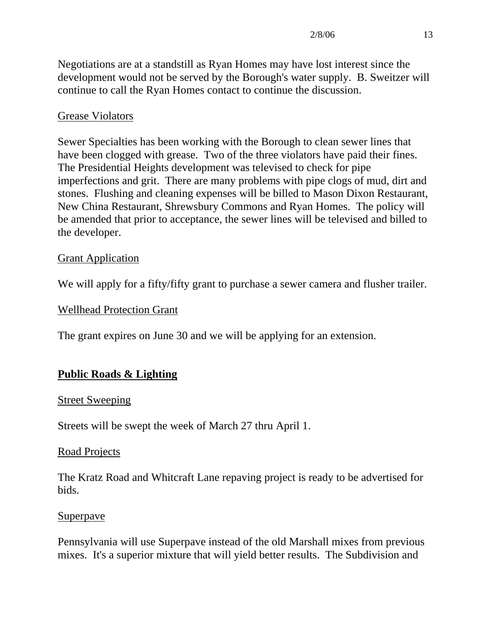## Grease Violators

Sewer Specialties has been working with the Borough to clean sewer lines that have been clogged with grease. Two of the three violators have paid their fines. The Presidential Heights development was televised to check for pipe imperfections and grit. There are many problems with pipe clogs of mud, dirt and stones. Flushing and cleaning expenses will be billed to Mason Dixon Restaurant, New China Restaurant, Shrewsbury Commons and Ryan Homes. The policy will be amended that prior to acceptance, the sewer lines will be televised and billed to the developer.

## Grant Application

We will apply for a fifty/fifty grant to purchase a sewer camera and flusher trailer.

## Wellhead Protection Grant

The grant expires on June 30 and we will be applying for an extension.

# **Public Roads & Lighting**

## **Street Sweeping**

Streets will be swept the week of March 27 thru April 1.

## Road Projects

The Kratz Road and Whitcraft Lane repaving project is ready to be advertised for bids.

## Superpave

Pennsylvania will use Superpave instead of the old Marshall mixes from previous mixes. It's a superior mixture that will yield better results. The Subdivision and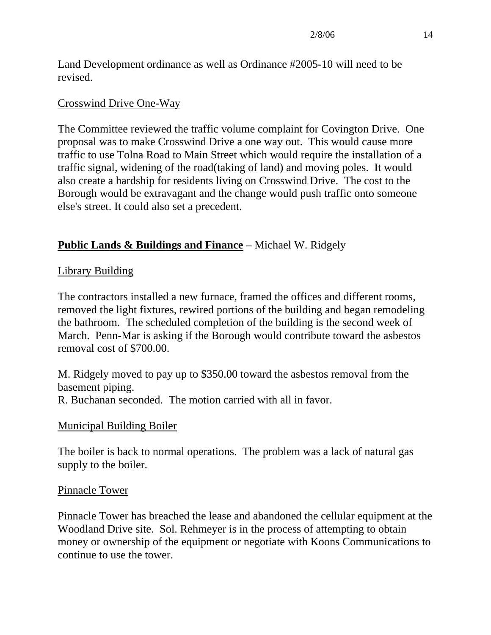Land Development ordinance as well as Ordinance #2005-10 will need to be revised.

#### Crosswind Drive One-Way

The Committee reviewed the traffic volume complaint for Covington Drive. One proposal was to make Crosswind Drive a one way out. This would cause more traffic to use Tolna Road to Main Street which would require the installation of a traffic signal, widening of the road(taking of land) and moving poles. It would also create a hardship for residents living on Crosswind Drive. The cost to the Borough would be extravagant and the change would push traffic onto someone else's street. It could also set a precedent.

#### **Public Lands & Buildings and Finance** – Michael W. Ridgely

#### Library Building

The contractors installed a new furnace, framed the offices and different rooms, removed the light fixtures, rewired portions of the building and began remodeling the bathroom. The scheduled completion of the building is the second week of March. Penn-Mar is asking if the Borough would contribute toward the asbestos removal cost of \$700.00.

M. Ridgely moved to pay up to \$350.00 toward the asbestos removal from the basement piping.

R. Buchanan seconded. The motion carried with all in favor.

#### Municipal Building Boiler

The boiler is back to normal operations. The problem was a lack of natural gas supply to the boiler.

#### Pinnacle Tower

Pinnacle Tower has breached the lease and abandoned the cellular equipment at the Woodland Drive site. Sol. Rehmeyer is in the process of attempting to obtain money or ownership of the equipment or negotiate with Koons Communications to continue to use the tower.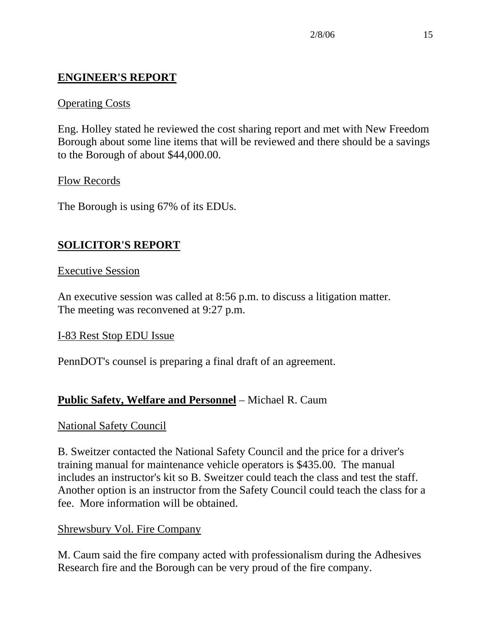## **ENGINEER'S REPORT**

#### **Operating Costs**

Eng. Holley stated he reviewed the cost sharing report and met with New Freedom Borough about some line items that will be reviewed and there should be a savings to the Borough of about \$44,000.00.

#### Flow Records

The Borough is using 67% of its EDUs.

## **SOLICITOR'S REPORT**

#### Executive Session

An executive session was called at 8:56 p.m. to discuss a litigation matter. The meeting was reconvened at 9:27 p.m.

#### I-83 Rest Stop EDU Issue

PennDOT's counsel is preparing a final draft of an agreement.

## **Public Safety, Welfare and Personnel** – Michael R. Caum

#### National Safety Council

B. Sweitzer contacted the National Safety Council and the price for a driver's training manual for maintenance vehicle operators is \$435.00. The manual includes an instructor's kit so B. Sweitzer could teach the class and test the staff. Another option is an instructor from the Safety Council could teach the class for a fee. More information will be obtained.

#### Shrewsbury Vol. Fire Company

M. Caum said the fire company acted with professionalism during the Adhesives Research fire and the Borough can be very proud of the fire company.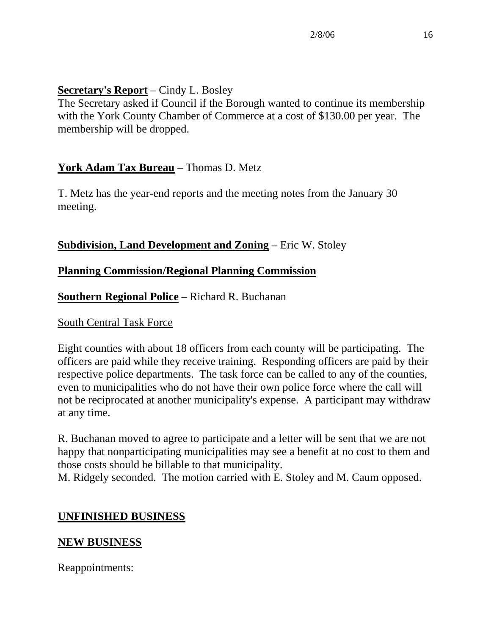## **Secretary's Report** – Cindy L. Bosley

The Secretary asked if Council if the Borough wanted to continue its membership with the York County Chamber of Commerce at a cost of \$130.00 per year. The membership will be dropped.

## **York Adam Tax Bureau** – Thomas D. Metz

T. Metz has the year-end reports and the meeting notes from the January 30 meeting.

## **Subdivision, Land Development and Zoning** – Eric W. Stoley

## **Planning Commission/Regional Planning Commission**

## **Southern Regional Police** – Richard R. Buchanan

#### South Central Task Force

Eight counties with about 18 officers from each county will be participating. The officers are paid while they receive training. Responding officers are paid by their respective police departments. The task force can be called to any of the counties, even to municipalities who do not have their own police force where the call will not be reciprocated at another municipality's expense. A participant may withdraw at any time.

R. Buchanan moved to agree to participate and a letter will be sent that we are not happy that nonparticipating municipalities may see a benefit at no cost to them and those costs should be billable to that municipality.

M. Ridgely seconded. The motion carried with E. Stoley and M. Caum opposed.

## **UNFINISHED BUSINESS**

## **NEW BUSINESS**

Reappointments: